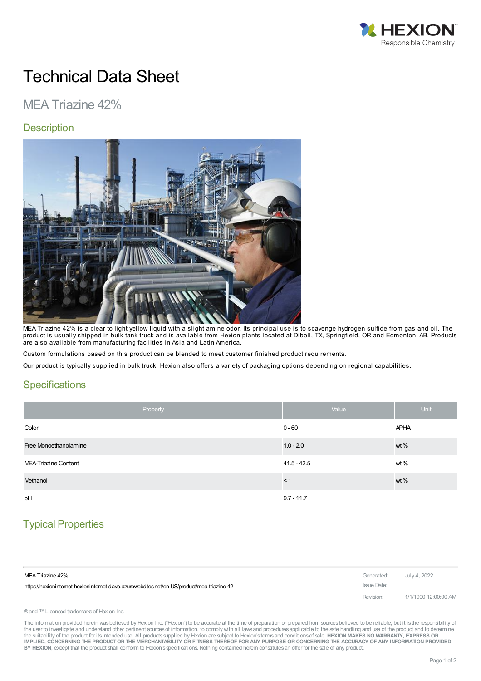

# Technical Data Sheet

# MEA Triazine 42%

#### **Description**



MEA Triazine 42% is a clear to light yellow liquid with a slight amine odor. Its principal use is to scavenge hydrogen sulfide from gas and oil. The product is usually shipped in bulk tank truck and is available from Hexion plants located at Diboll, TX, Springfield, OR and Edmonton, AB. Products are also available from manufacturing facilities in Asia and Latin America.

Custom formulations based on this product can be blended to meet customer finished product requirements.

Our product is typically supplied in bulk truck. Hexion also offers a variety of packaging options depending on regional capabilities.

#### **Specifications**

| Property              | Value         | <b>Unit</b> |
|-----------------------|---------------|-------------|
| Color                 | $0 - 60$      | <b>APHA</b> |
| Free Monoethanolamine | $1.0 - 2.0$   | wt %        |
| MEA-Triazine Content  | $41.5 - 42.5$ | wt%         |
| Methanol              | < 1           | wt %        |
| pH                    | $9.7 - 11.7$  |             |

## Typical Properties

| MEA Triazine 42%                                                                          | Generated:  | July 4, 2022         |
|-------------------------------------------------------------------------------------------|-------------|----------------------|
| https://hexionintemet-hexionintemet-slave.azurewebsites.net/en-US/product/mea-triazine-42 | Issue Date: |                      |
|                                                                                           | Revision:   | 1/1/1900 12:00:00 AM |

® and ™ Licensed trademarks of Hexion Inc.

The information provided herein was believed by Hexion Inc. ("Hexion") to be accurate at the time of preparation or prepared from sources believed to be reliable, but it is the responsibility of the user to investigate and understand other pertinent sources of information, to comply with all laws and procedures applicable to the safe handling and use of the product and to determine the suitability of the product for itsintended use. All productssupplied by Hexion are subject to Hexion'stermsand conditionsof sale. **HEXION MAKES NO WARRANTY, EXPRESS OR** IMPLIED, CONCERNING THE PRODUCT OR THE MERCHANTABILITY OR FITNESS THEREOF FOR ANY PURPOSE OR CONCERNING THE ACCURACY OF ANY INFORMATION PROVIDED **BY HEXION**, except that the product shall conform to Hexion'sspecifications. Nothing contained herein constitutesan offer for the sale of any product.